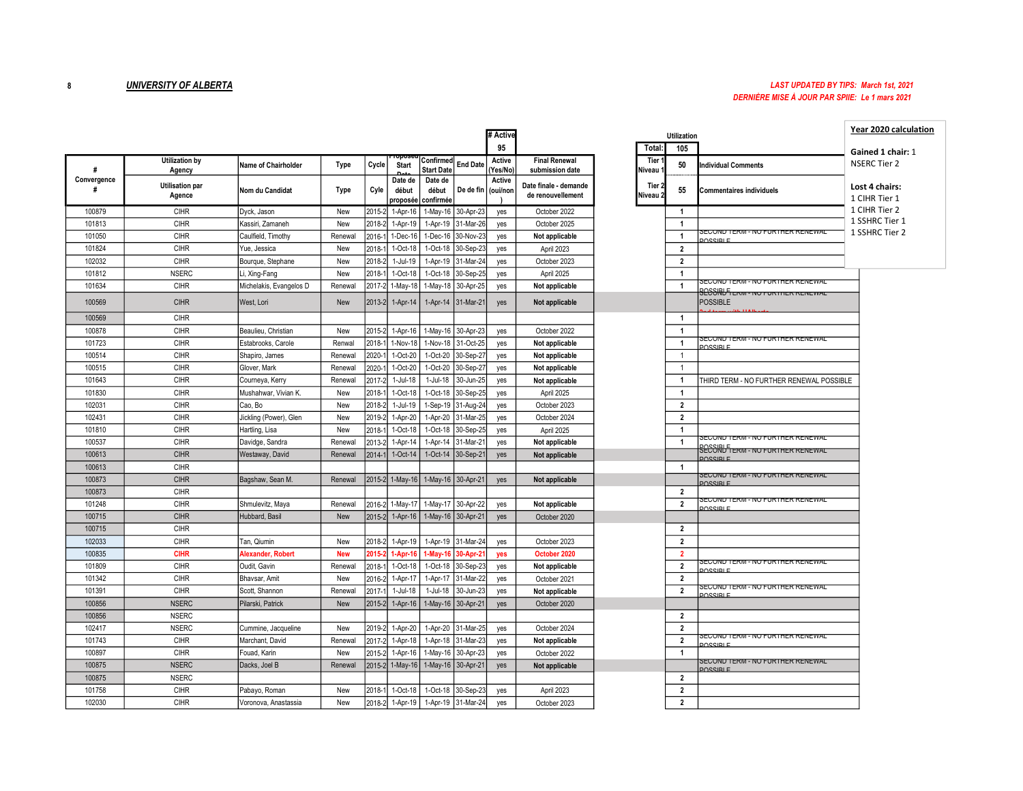## 8 **UNIVERSITY OF ALBERTA** LAST UPDATED BY TIPS: March 1st, 2021 DERNIÈRE MISE À JOUR PAR SPIIE: Le 1 mars 2021

|                  |                                  |                         |            |            |                              |                                |                    | # Active           |                                            |                               | <b>Utilization</b>      |                                                                                            |
|------------------|----------------------------------|-------------------------|------------|------------|------------------------------|--------------------------------|--------------------|--------------------|--------------------------------------------|-------------------------------|-------------------------|--------------------------------------------------------------------------------------------|
|                  |                                  |                         |            |            |                              |                                |                    | 95                 |                                            | Total:                        | 105                     |                                                                                            |
| #                | <b>Utilization by</b><br>Agency  | Name of Chairholder     | Type       | Cycle      | <b>Start</b>                 | Confirmed<br><b>Start Date</b> | <b>End Date</b>    | Active<br>(Yes/No) | <b>Final Renewal</b><br>submission date    | Tier<br>Niveau <sup>.</sup>   | 50                      | <b>Individual Comments</b>                                                                 |
| Convergence<br># | <b>Utilisation par</b><br>Agence | Nom du Candidat         | Type       | Cyle       | Date de<br>début<br>proposée | Date de<br>début<br>confirmée  | De de fin          | Active<br>(oui/non | Date finale - demande<br>de renouvellement | Tier 2<br>Niveau <sub>2</sub> | 55                      | <b>Commentaires individuels</b>                                                            |
| 100879           | <b>CIHR</b>                      | Dyck, Jason             | New        | 2015-      | 1-Apr-16                     | 1-May-16                       | 30-Apr-23          | yes                | October 2022                               |                               | $\mathbf{1}$            |                                                                                            |
| 101813           | CIHR                             | Kassiri, Zamaneh        | New        | $2018 -$   | 1-Apr-19                     | 1-Apr-19                       | 31-Mar-26          | yes                | October 2025                               |                               | $\mathbf{1}$            |                                                                                            |
| 101050           | CIHR                             | Caulfield, Timothy      | Renewal    | 2016-      | 1-Dec-16                     | 1-Dec-16                       | 30-Nov-23          | yes                | Not applicable                             |                               | $\overline{1}$          | <u> SECUND TERM - NU FURTHER RENEWAL</u><br>DUCCIDI E                                      |
| 101824           | <b>CIHR</b>                      | Yue, Jessica            | New        | 2018-      | 1-Oct-18                     | 1-Oct-18                       | 30-Sep-23          | yes                | April 2023                                 |                               | $\overline{2}$          |                                                                                            |
| 102032           | <b>CIHR</b>                      | Bourque, Stephane       | New        | 2018-      | 1-Jul-19                     | 1-Apr-19                       | 31-Mar-24          | yes                | October 2023                               |                               | $\overline{2}$          |                                                                                            |
| 101812           | <b>NSERC</b>                     | Li, Xing-Fang           | New        | 2018-      | 1-Oct-18                     | 1-Oct-18                       | 30-Sep-25          | yes                | April 2025                                 |                               | $\mathbf{1}$            |                                                                                            |
| 101634           | CIHR                             | Michelakis, Evangelos D | Renewal    | 2017-      | 1-May-18                     | 1-May-18                       | 30-Apr-25          | yes                | Not applicable                             |                               | $\mathbf{1}$            | SECOND TERM - NO FURTHER RENEWAL<br><u> BASSIRI F.</u><br>BECOND TERM - NO FURTHER RENEWAL |
| 100569           | <b>CIHR</b>                      | West, Lori              | New        | $2013 - 2$ | 1-Apr-14                     |                                | 1-Apr-14 31-Mar-21 | yes                | Not applicable                             |                               |                         | <b>POSSIBLE</b>                                                                            |
| 100569           | <b>CIHR</b>                      |                         |            |            |                              |                                |                    |                    |                                            |                               | $\overline{1}$          |                                                                                            |
| 100878           | <b>CIHR</b>                      | Beaulieu, Christian     | New        | 2015-2     | 1-Apr-16                     |                                | 1-May-16 30-Apr-23 | yes                | October 2022                               |                               | $\mathbf{1}$            |                                                                                            |
| 101723           | CIHR                             | Estabrooks, Carole      | Renwal     | 2018-      | 1-Nov-18                     | 1-Nov-18                       | 31-Oct-25          | yes                | Not applicable                             |                               | 1                       | <u>SECOND TERM - NO FURTHER RENEWAL</u><br>DUCCIDI E                                       |
| 100514           | <b>CIHR</b>                      | Shapiro, James          | Renewal    | 2020-      | 1-Oct-20                     | 1-Oct-20                       | 30-Sep-27          | yes                | Not applicable                             |                               | $\mathbf{1}$            |                                                                                            |
| 100515           | CIHR                             | Glover, Mark            | Renewal    | 2020-      | 1-Oct-20                     | 1-Oct-20                       | 30-Sep-27          | yes                | Not applicable                             |                               | $\overline{1}$          |                                                                                            |
| 101643           | <b>CIHR</b>                      | Courneya, Kerry         | Renewal    | 2017-      | 1-Jul-18                     | 1-Jul-18                       | 30-Jun-25          | yes                | Not applicable                             |                               | $\overline{1}$          | THIRD TERM - NO FURTHER RENEWAL POSSIBLE                                                   |
| 101830           | <b>CIHR</b>                      | Mushahwar, Vivian K.    | New        | 2018-      | 1-Oct-18                     | 1-Oct-18                       | 30-Sep-25          | yes                | April 2025                                 |                               | $\mathbf{1}$            |                                                                                            |
| 102031           | CIHR                             | Cao, Bo                 | New        | 2018-      | 1-Jul-19                     | -Sep-19                        | 31-Aug-24          | yes                | October 2023                               |                               | $\overline{\mathbf{2}}$ |                                                                                            |
| 102431           | <b>CIHR</b>                      | Jickling (Power), Glen  | New        | 2019-      | 1-Apr-20                     | 1-Apr-20                       | 31-Mar-25          | yes                | October 2024                               |                               | $\overline{\mathbf{2}}$ |                                                                                            |
| 101810           | CIHR                             | Hartling, Lisa          | New        | 2018-      | 1-Oct-18                     | 1-Oct-18                       | 30-Sep-25          | yes                | April 2025                                 |                               | 1                       |                                                                                            |
| 100537           | <b>CIHR</b>                      | Davidge, Sandra         | Renewal    | 2013-      | 1-Apr-14                     | 1-Apr-14                       | 31-Mar-21          | yes                | Not applicable                             |                               | 1                       | <u> SECUND TERM - NU FURTHER RENEWAL</u><br><u> BECOND TERM - NO FURTHER RENEWAL</u>       |
| 100613           | <b>CIHR</b>                      | Westaway, David         | Renewal    | 2014-      | 1-Oct-14                     | 1-Oct-14                       | 30-Sep-21          | yes                | Not applicable                             |                               |                         | DUCCIDI E                                                                                  |
| 100613           | <b>CIHR</b>                      |                         |            |            |                              |                                |                    |                    |                                            |                               | $\mathbf{1}$            |                                                                                            |
| 100873           | <b>CIHR</b>                      | Bagshaw, Sean M.        | Renewal    | 2015-2     | 1-May-16                     |                                | 1-May-16 30-Apr-21 | yes                | Not applicable                             |                               |                         | <u> SECUND TERM - NU FURTHER RENEWAL</u><br><b>DOCCIDI E</b>                               |
| 100873           | CIHR                             |                         |            |            |                              |                                |                    |                    |                                            |                               | $\overline{2}$          |                                                                                            |
| 101248           | <b>CIHR</b>                      | Shmulevitz, Maya        | Renewal    | 2016-:     | $1-May-1$                    | 1-May-17                       | 30-Apr-22          | yes                | Not applicable                             |                               | $\overline{2}$          | <u> SECUND TERM - NU FURTHER RENEWAL</u><br><b>DUCCIDI E</b>                               |
| 100715           | <b>CIHR</b>                      | Hubbard, Basil          | New        | 2015-2     | $1-Apr-16$                   |                                | 1-May-16 30-Apr-21 | yes                | October 2020                               |                               |                         |                                                                                            |
| 100715           | <b>CIHR</b>                      |                         |            |            |                              |                                |                    |                    |                                            |                               | $\overline{\mathbf{2}}$ |                                                                                            |
| 102033           | <b>CIHR</b>                      | Tan, Qiumin             | New        | 2018-2     | 1-Apr-19                     |                                | 1-Apr-19 31-Mar-24 | yes                | October 2023                               |                               | $\overline{\mathbf{2}}$ |                                                                                            |
| 100835           | <b>CIHR</b>                      | Alexander, Robert       | <b>New</b> | 2015       | 1-Apr-1                      | -May-16                        | 30-Apr-21          | yes                | October 2020                               |                               | $\overline{2}$          | <u> SECUND TERM - NU FURTHER RENEWAL</u>                                                   |
| 101809           | <b>CIHR</b>                      | Oudit, Gavin            | Renewal    | 2018-      | 1-Oct-18                     | 1-Oct-18                       | 30-Sep-23          | yes                | Not applicable                             |                               | $\overline{\mathbf{2}}$ | <b>DUGGIEI E</b>                                                                           |
| 101342           | CIHR                             | Bhavsar, Amit           | New        | 2016-      | 1-Apr-17                     | 1-Apr-17                       | 31-Mar-22          | yes                | October 2021                               |                               | $\overline{\mathbf{2}}$ | <u>SECOND TERM - NO FURTHER RENEWAL</u>                                                    |
| 101391           | CIHR                             | Scott, Shannon          | Renewal    | 2017-      | 1-Jul-18                     | 1-Jul-18                       | 30-Jun-23          | yes                | Not applicable                             |                               | $\overline{\mathbf{2}}$ | DUCCIDI E                                                                                  |
| 100856           | <b>NSERC</b>                     | Pilarski, Patrick       | New        | 2015-2     | 1-Apr-16                     |                                | 1-May-16 30-Apr-21 | yes                | October 2020                               |                               |                         |                                                                                            |
| 100856           | <b>NSERC</b>                     |                         |            |            |                              |                                |                    |                    |                                            |                               | $\overline{2}$          |                                                                                            |
| 102417           | <b>NSERC</b>                     | Cummine, Jacqueline     | New        | 2019-      | 1-Apr-20                     | 1-Apr-20                       | 31-Mar-25          | yes                | October 2024                               |                               | $\overline{\mathbf{2}}$ | <u>SECUND TERM - NU FURTHER RENEWAL</u>                                                    |
| 101743           | CIHR                             | Marchant, David         | Renewal    | 2017-      | 1-Apr-18                     |                                | 1-Apr-18 31-Mar-23 | yes                | Not applicable                             |                               | $\overline{\mathbf{2}}$ | DOCCIDI E                                                                                  |
| 100897           | CIHR                             | Fouad, Karin            | New        | $2015 -$   | 1-Apr-16                     | 1-May-16                       | 30-Apr-23          | yes                | October 2022                               |                               | 1                       | SEUUNU TERM - NU FURTHER RENEWAL                                                           |
| 100875           | <b>NSERC</b>                     | Dacks, Joel B           | Renewal    | 2015-2     | 1-May-16                     |                                | 1-May-16 30-Apr-21 | yes                | Not applicable                             |                               |                         | <b>DUCCIDI E</b>                                                                           |
| 100875           | <b>NSERC</b>                     |                         |            |            |                              |                                |                    |                    |                                            |                               | $\overline{2}$          |                                                                                            |
| 101758           | <b>CIHR</b>                      | Pabayo, Roman           | New        | 2018-      | 1-Oct-18                     | 1-Oct-18                       | 30-Sep-23          | yes                | April 2023                                 |                               | $\overline{\mathbf{2}}$ |                                                                                            |
| 102030           | <b>CIHR</b>                      | Voronova, Anastassia    | New        | 2018-2     | 1-Apr-19                     | 1-Apr-19                       | 31-Mar-24          | yes                | October 2023                               |                               | $\overline{\mathbf{2}}$ |                                                                                            |

|                    |                         |                                                                | Year 2020 calculation           |  |
|--------------------|-------------------------|----------------------------------------------------------------|---------------------------------|--|
|                    | <b>Utilization</b>      |                                                                |                                 |  |
| Total:             | 105                     |                                                                | Gained 1 chair: 1               |  |
| Tier 1<br>Niveau 1 | 50                      | <b>Individual Comments</b>                                     | <b>NSERC Tier 2</b>             |  |
| Tier 2<br>Niveau 2 | 55                      | <b>Commentaires individuels</b>                                | Lost 4 chairs:<br>1 CIHR Tier 1 |  |
|                    | $\mathbf{1}$            |                                                                | 1 CIHR Tier 2                   |  |
|                    | 1                       |                                                                | 1 SSHRC Tier 1                  |  |
|                    | $\mathbf{1}$            | SECOND TERM - NO FURTHER RENEWAL                               | 1 SSHRC Tier 2                  |  |
|                    | $\mathbf{2}$            | DOCCIDI E                                                      |                                 |  |
|                    | $\overline{2}$          |                                                                |                                 |  |
|                    | $\mathbf{1}$            |                                                                |                                 |  |
|                    | $\mathbf{1}$            | SECOND TERM - NO FURTHER RENEWAL                               |                                 |  |
|                    |                         | <b>SCCORD FIERITY - NO FURTHER REINEWAL</b><br><b>POSSIBLE</b> |                                 |  |
|                    | $\mathbf{1}$            |                                                                |                                 |  |
|                    | $\mathbf{1}$            |                                                                |                                 |  |
|                    | $\mathbf{1}$            | SECOND TERM - NO FURTHER RENEWAL<br>DOCCIDI E                  |                                 |  |
|                    | $\mathbf{1}$            |                                                                |                                 |  |
|                    | $\mathbf{1}$            |                                                                |                                 |  |
|                    | $\mathbf{1}$            | THIRD TERM - NO FURTHER RENEWAL POSSIBLE                       |                                 |  |
|                    | $\mathbf{1}$            |                                                                |                                 |  |
|                    | $\overline{\mathbf{2}}$ |                                                                |                                 |  |
|                    | $\overline{\mathbf{2}}$ |                                                                |                                 |  |
|                    | $\mathbf{1}$            |                                                                |                                 |  |
|                    | $\mathbf{1}$            | SECUNU TERM - NU FURTHER RENEWAL                               |                                 |  |
|                    |                         | SECORD TERM - NO FORTHER RENEWAL                               |                                 |  |
|                    | $\mathbf{1}$            | DOCCIDI E                                                      |                                 |  |
|                    |                         | SECUND TERM - NO FURTHER RENEWAL<br><b>DOCCIDI E</b>           |                                 |  |
|                    | $\overline{2}$          |                                                                |                                 |  |
|                    | $\overline{\mathbf{2}}$ | SECUND TERM - NO FURTHER RENEWAL<br>DOCCIDI E                  |                                 |  |
|                    | $\overline{\mathbf{2}}$ |                                                                |                                 |  |
|                    | $\overline{\mathbf{2}}$ |                                                                |                                 |  |
|                    | $\overline{2}$          |                                                                |                                 |  |
|                    | $\overline{2}$          | SECUND TERM - NO FURTHER RENEWAL                               |                                 |  |
|                    | $\overline{\mathbf{2}}$ | DOCCIDI E                                                      |                                 |  |
|                    | $\mathbf 2$             | SECOND TERM - NO FURTHER RENEWAL<br>DOCCIDI E                  |                                 |  |
|                    |                         |                                                                |                                 |  |
|                    | $\overline{2}$          |                                                                |                                 |  |
|                    | $\overline{\mathbf{2}}$ | SECUND TERM - NO FURTHER RENEWAL                               |                                 |  |
|                    | $\overline{2}$          | DOCCIDI E                                                      |                                 |  |
|                    | $\mathbf{1}$            | SECUND TERM - NO FURTHER RENEWAL                               |                                 |  |
|                    | $\overline{\mathbf{2}}$ | DOCCIDI E                                                      |                                 |  |
|                    | $\overline{2}$          |                                                                |                                 |  |
|                    | $\overline{\mathbf{2}}$ |                                                                |                                 |  |
|                    |                         |                                                                |                                 |  |
|                    |                         |                                                                |                                 |  |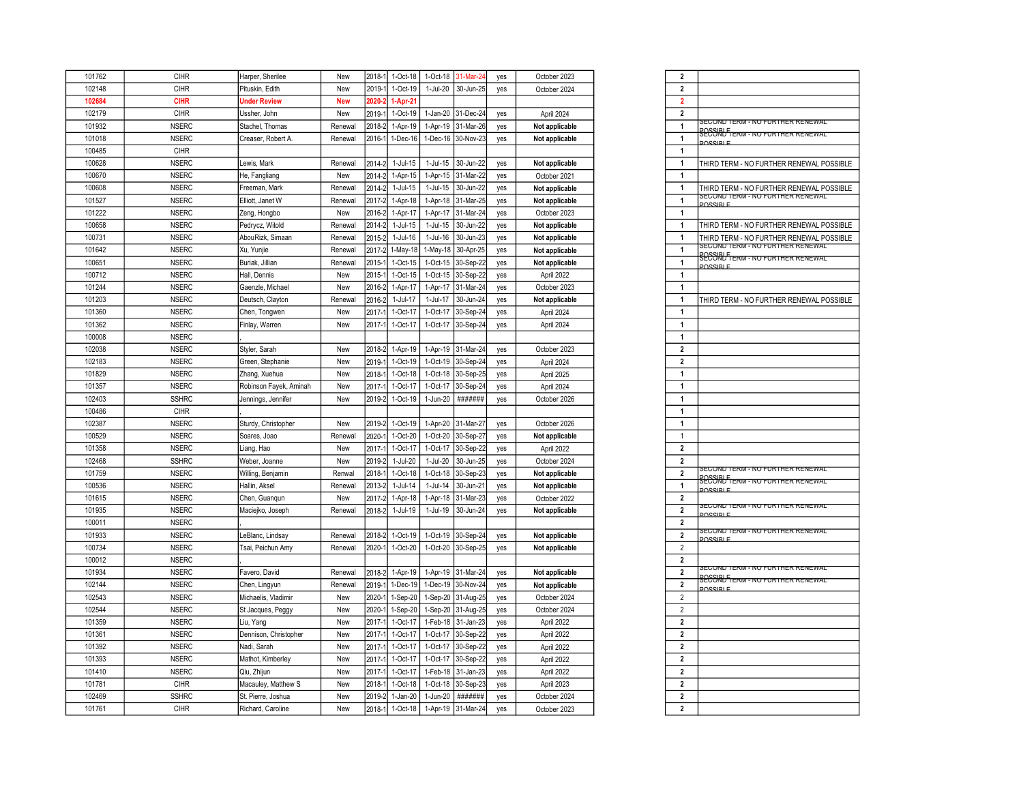| 101762 | <b>CIHR</b>  | Harper, Sherilee       | New        | 2018-1   | 1-Oct-18    | 1-Oct-18   | 31-Mar-2           | yes        | October 2023   | $\overline{2}$          |                                                         |
|--------|--------------|------------------------|------------|----------|-------------|------------|--------------------|------------|----------------|-------------------------|---------------------------------------------------------|
| 102148 | <b>CIHR</b>  | Pituskin, Edith        | New        | 2019-    | 1-Oct-19    | 1-Jul-20   | 30-Jun-25          | yes        | October 2024   | $\overline{\mathbf{2}}$ |                                                         |
| 102684 | <b>CIHR</b>  | <b>Under Review</b>    | <b>New</b> | 2020-    | 1-Apr-21    |            |                    |            |                | $\overline{2}$          |                                                         |
| 102179 | CIHR         | Ussher, John           | New        | 2019-    | 1-Oct-19    | $1-Jan-20$ | 31-Dec-24          | yes        | April 2024     | $\overline{2}$          |                                                         |
| 101932 | <b>NSERC</b> | Stachel, Thomas        | Renewal    | 2018-2   | 1-Apr-19    |            | 1-Apr-19 31-Mar-26 | yes        | Not applicable | $\mathbf{1}$            | <u> SECOND TERM - NO FURTHER RENEWAL</u>                |
| 101018 | <b>NSERC</b> | Creaser, Robert A.     | Renewal    | 2016-1   | $1-Dec-16$  | 1-Dec-16   | 30-Nov-23          | yes        | Not applicable | $\mathbf{1}$            | <u> BASSIBLE term - no forther renewal</u><br>DOCCIDI E |
| 100485 | <b>CIHR</b>  |                        |            |          |             |            |                    |            |                | $\mathbf{1}$            |                                                         |
| 100628 | <b>NSERC</b> | Lewis, Mark            | Renewal    | 2014     | 1-Jul-15    | 1-Jul-15   | 30-Jun-22          | yes        | Not applicable | $\overline{1}$          | THIRD TERM - NO FURTHER RENEWAL POSSIBLE                |
| 100670 | <b>NSERC</b> | He, Fangliang          | New        | 2014-    | 1-Apr-15    | 1-Apr-15   | 31-Mar-22          | yes        | October 2021   | $\overline{1}$          |                                                         |
| 100608 | <b>NSERC</b> | Freeman, Mark          | Renewal    | $2014 -$ | 1-Jul-15    | 1-Jul-15   | 30-Jun-22          | yes        | Not applicable | $\overline{1}$          | THIRD TERM - NO FURTHER RENEWAL POSSIBLE                |
| 101527 | <b>NSERC</b> | Elliott, Janet W       | Renewal    | 2017-    | 1-Apr-18    | 1-Apr-18   | 31-Mar-25          | yes        | Not applicable | $\overline{1}$          | SECUND TERM - NO FURTHER RENEWAL<br>DOCCIDI E           |
| 101222 | <b>NSERC</b> | Zeng, Hongbo           | New        | 2016-2   | 1-Apr-17    | 1-Apr-17   | 31-Mar-24          | yes        | October 2023   | $\mathbf{1}$            |                                                         |
| 100658 | <b>NSERC</b> | Pedrycz, Witold        | Renewal    | 2014-    | $1$ -Jul-15 | 1-Jul-15   | 30-Jun-22          | yes        | Not applicable | $\overline{1}$          | THIRD TERM - NO FURTHER RENEWAL POSSIBLE                |
| 100731 | <b>NSERC</b> | AbouRizk, Simaan       | Renewal    | 2015-2   | 1-Jul-16    | 1-Jul-16   | 30-Jun-23          | yes        | Not applicable | $\overline{1}$          | THIRD TERM - NO FURTHER RENEWAL POSSIBLE                |
| 101642 | <b>NSERC</b> | Xu, Yunjie             | Renewal    | $2017-$  | 1-May-18    | 1-May-18   | 30-Apr-25          | yes        | Not applicable | $\mathbf{1}$            | SECUND TERM - NO FURTHER RENEWAL                        |
| 100651 | <b>NSERC</b> | Buriak, Jillian        | Renewal    | 2015-    | 1-Oct-15    | $1-Oct-15$ | 30-Sep-22          | yes        | Not applicable | $\mathbf{1}$            | <u>second Fierm - no forifier renewad</u><br>DOCCIDI E  |
| 100712 | <b>NSERC</b> | Hall, Dennis           | New        | 2015-    | 1-Oct-15    | 1-Oct-15   | 30-Sep-22          | yes        | April 2022     | $\mathbf{1}$            |                                                         |
| 101244 | <b>NSERC</b> | Gaenzle, Michael       | New        | 2016-2   | 1-Apr-17    | 1-Apr-17   | 31-Mar-24          | yes        | October 2023   | $\overline{1}$          |                                                         |
| 101203 | <b>NSERC</b> | Deutsch, Clayton       | Renewal    | 2016-2   | 1-Jul-17    | 1-Jul-17   | 30-Jun-24          | yes        | Not applicable | $\mathbf{1}$            | THIRD TERM - NO FURTHER RENEWAL POSSIBLE                |
| 101360 | <b>NSERC</b> | Chen, Tongwen          | New        | 2017-    | 1-Oct-17    | 1-Oct-17   | 30-Sep-24          | yes        | April 2024     | $\mathbf{1}$            |                                                         |
| 101362 | <b>NSERC</b> | Finlay, Warren         | New        | 2017-    | 1-Oct-17    | 1-Oct-17   | 30-Sep-24          | yes        | April 2024     | $\overline{1}$          |                                                         |
| 100008 | <b>NSERC</b> |                        |            |          |             |            |                    |            |                | $\mathbf{1}$            |                                                         |
| 102038 | <b>NSERC</b> | Styler, Sarah          | New        | 2018-2   | 1-Apr-19    | 1-Apr-19   | 31-Mar-24          | yes        | October 2023   | $\overline{\mathbf{2}}$ |                                                         |
| 102183 | <b>NSERC</b> | Green, Stephanie       | New        | 2019     | 1-Oct-19    | 1-Oct-19   | 30-Sep-24          | yes        | April 2024     | $\boldsymbol{2}$        |                                                         |
| 101829 | <b>NSERC</b> | Zhang, Xuehua          | New        | 2018-    | 1-Oct-18    | 1-Oct-18   | 30-Sep-25          | yes        | April 2025     | $\mathbf{1}$            |                                                         |
| 101357 | <b>NSERC</b> | Robinson Fayek, Aminah | New        | 2017-    | 1-Oct-17    | 1-Oct-17   | 30-Sep-24          | yes        | April 2024     | $\overline{1}$          |                                                         |
| 102403 | <b>SSHRC</b> | Jennings, Jennifer     | New        | 2019-2   | 1-Oct-19    | 1-Jun-20   | #######            | yes        | October 2026   | $\mathbf{1}$            |                                                         |
| 100486 | <b>CIHR</b>  |                        |            |          |             |            |                    |            |                | $\mathbf{1}$            |                                                         |
| 102387 | <b>NSERC</b> | Sturdy, Christopher    | New        | 2019-2   | 1-Oct-19    | 1-Apr-20   | 31-Mar-27          | yes        | October 2026   | $\mathbf{1}$            |                                                         |
| 100529 | <b>NSERC</b> | Soares, Joao           | Renewal    | 2020-    | 1-Oct-20    | 1-Oct-20   | 30-Sep-27          | yes        | Not applicable | $\overline{1}$          |                                                         |
| 101358 | <b>NSERC</b> | Liang, Hao             | New        | 2017     | 1-Oct-17    | 1-Oct-17   | 30-Sep-22          | yes        | April 2022     | $\boldsymbol{2}$        |                                                         |
| 102468 | <b>SSHRC</b> | Weber, Joanne          | New        | 2019-    | 1-Jul-20    | 1-Jul-20   | 30-Jun-25          | yes        | October 2024   | $\overline{\mathbf{2}}$ |                                                         |
| 101759 | <b>NSERC</b> | Willing, Benjamin      | Renwal     | 2018-    | 1-Oct-18    | 1-Oct-18   | 30-Sep-23          | yes        | Not applicable | $\overline{2}$          | <u> SECUND TERM - NU FURTHER RENEWAL</u>                |
| 100536 | <b>NSERC</b> | Hallin, Aksel          | Renewal    | 2013-2   | $1-Jul-14$  | $1-Jul-14$ | 30-Jun-21          | yes        | Not applicable | $\overline{1}$          | <u> BASSIBLE erw - no forther renewal</u>               |
| 101615 | <b>NSERC</b> | Chen, Guanqun          | New        | $2017 -$ | 1-Apr-18    | 1-Apr-18   | 31-Mar-23          | yes        | October 2022   | $\overline{2}$          | OUCCIDI E                                               |
| 101935 | <b>NSERC</b> | Maciejko, Joseph       | Renewal    | 2018-2   | 1-Jul-19    | 1-Jul-19   | 30-Jun-24          | yes        | Not applicable | $\boldsymbol{2}$        | <u> SECUND TERM - NU FURTHER RENEWAL</u>                |
| 100011 | <b>NSERC</b> |                        |            |          |             |            |                    |            |                | $\overline{2}$          | DOCCIDI E                                               |
| 101933 | <b>NSERC</b> | LeBlanc, Lindsay       | Renewal    | 2018-2   | 1-Oct-19    | 1-Oct-19   | 30-Sep-24          | yes        | Not applicable | $\overline{2}$          | <u> SECUND TERM - NU FURTHER RENEWAL</u>                |
| 100734 | <b>NSERC</b> | Tsai, Peichun Amy      | Renewal    | 2020-    | 1-Oct-20    | 1-Oct-20   | 30-Sep-25          | yes        | Not applicable | $\overline{2}$          | DOCCIDI E                                               |
| 100012 | <b>NSERC</b> |                        |            |          |             |            |                    |            |                | $\overline{\mathbf{2}}$ |                                                         |
| 101934 | <b>NSERC</b> | Favero, David          | Renewal    | 2018-2   | 1-Apr-19    | 1-Apr-19   | 31-Mar-24          | yes        | Not applicable | $\overline{2}$          | SECOND TERM - NO FURTHER RENEWAL                        |
| 102144 | <b>NSERC</b> | Chen, Lingyun          | Renewal    | 2019-    | 1-Dec-19    | 1-Dec-19   | 30-Nov-24          | yes        | Not applicable | $\overline{2}$          | <u> BASSIBLE erw - no forther renewal</u>               |
| 102543 | <b>NSERC</b> | Michaelis, Vladimir    | New        | 2020-    | 1-Sep-20    | 1-Sep-20   | 31-Aug-25          | yes        | October 2024   | $\overline{2}$          | <b>POSSIBLE</b>                                         |
| 102544 | <b>NSERC</b> | St Jacques, Peggy      | New        | 2020-    | 1-Sep-20    | 1-Sep-20   | 31-Aug-25          | yes        | October 2024   | $\overline{2}$          |                                                         |
| 101359 | <b>NSERC</b> | Liu, Yang              | New        | 2017-    | 1-Oct-17    | 1-Feb-18   | 31-Jan-23          | yes        | April 2022     | $\overline{2}$          |                                                         |
| 101361 | <b>NSERC</b> | Dennison, Christopher  | New        | 2017-    | 1-Oct-17    | 1-Oct-17   | 30-Sep-22          | yes        | April 2022     | $\overline{2}$          |                                                         |
| 101392 | <b>NSERC</b> | Nadi, Sarah            | New        | 2017     | 1-Oct-17    | 1-Oct-17   | 30-Sep-22          |            | April 2022     | $\boldsymbol{2}$        |                                                         |
| 101393 | <b>NSERC</b> | Mathot, Kimberley      | New        | 2017     | 1-Oct-17    | 1-Oct-17   | 30-Sep-22          | yes<br>yes | April 2022     | $\boldsymbol{2}$        |                                                         |
| 101410 | <b>NSERC</b> |                        |            | 2017-    | 1-Oct-17    | 1-Feb-18   | 31-Jan-23          |            | April 2022     | $\overline{2}$          |                                                         |
| 101781 | <b>CIHR</b>  | Qiu, Zhijun            | New<br>New | 2018-    | 1-Oct-18    | 1-Oct-18   | 30-Sep-23          | yes        | April 2023     | $\overline{\mathbf{2}}$ |                                                         |
|        |              | Macauley, Matthew S    |            |          |             |            |                    | yes        |                |                         |                                                         |
| 102469 | <b>SSHRC</b> | St. Pierre, Joshua     | New        | 2019-2   | 1-Jan-20    | 1-Jun-20   | #######            | yes        | October 2024   | $\boldsymbol{2}$        |                                                         |
| 101761 | $C$ IHR      | Richard, Caroline      | New        | 2018-    | 1-Oct-18    | 1-Apr-19   | 31-Mar-24          | yes        | October 2023   | $\boldsymbol{2}$        |                                                         |

| z              |                                                                              |
|----------------|------------------------------------------------------------------------------|
| 2              |                                                                              |
| 2              |                                                                              |
| $\overline{a}$ |                                                                              |
| 1              | SECOND TERM - NO FURTHER RENEWAL                                             |
| $\mathbf{1}$   | <b>SECORD TERM - NO FORTHER RENEWAL</b>                                      |
| 1              | <b>DOCCIDI E</b>                                                             |
| 1              | THIRD TERM - NO FURTHER RENEWAL POSSIBLE                                     |
| 1              |                                                                              |
|                |                                                                              |
| 1              | THIRD TERM - NO FURTHER RENEWAL POSSIBLE<br>SECUND TERM - NO FURTHER RENEWAL |
| 1              | DOCCIDI E                                                                    |
| 1              |                                                                              |
| 1              | THIRD TERM - NO FURTHER RENEWAL POSSIBLE                                     |
| 1              | THIRD TERM - NO FURTHER RENEWAL POSSIBLE                                     |
| 1              | SECOND TERM - NO FURTHER RENEWAL                                             |
| $\mathbf{1}$   | <del>SCCOND TERM - NO FORTHER RENEWAL</del><br><b>DOCCIDI E</b>              |
| 1              |                                                                              |
| 1              |                                                                              |
| 1              | THIRD TERM - NO FURTHER RENEWAL POSSIBLE                                     |
|                |                                                                              |
| 1              |                                                                              |
| 1              |                                                                              |
| 1              |                                                                              |
| $\overline{2}$ |                                                                              |
| $\overline{c}$ |                                                                              |
| 1              |                                                                              |
| $\mathbf{1}$   |                                                                              |
| 1              |                                                                              |
| 1              |                                                                              |
| 1              |                                                                              |
| 1              |                                                                              |
|                |                                                                              |
| 2              |                                                                              |
| 2              | SECUND TERM - NO FURTHER RENEWAL                                             |
| $\overline{2}$ | SECORD TERM - NO FORTHER RENEWAL                                             |
| 1              | DOCCIDI E                                                                    |
| $\overline{2}$ |                                                                              |
| $\overline{a}$ | SECUND TERM - NO FURTHER RENEWAL<br><b>DOCCIDI E</b>                         |
| 2              |                                                                              |
| $\overline{2}$ | SECUND TERM - NO FURTHER RENEWAL                                             |
| $\overline{2}$ | DOCCIDI E                                                                    |
| 2              |                                                                              |
| 2              | SECUND TERM - NO FURTHER RENEWAL                                             |
|                | <u>SECSRUFTERM - NO FORTHER RENEWAL</u>                                      |
| 2              | <b>POSSIBLE</b>                                                              |
| 2              |                                                                              |
| $\overline{2}$ |                                                                              |
| 2              |                                                                              |
| $\overline{a}$ |                                                                              |
| 2              |                                                                              |
| 2              |                                                                              |
| $\overline{a}$ |                                                                              |
| 2              |                                                                              |
| 2              |                                                                              |
|                |                                                                              |
| $\overline{a}$ |                                                                              |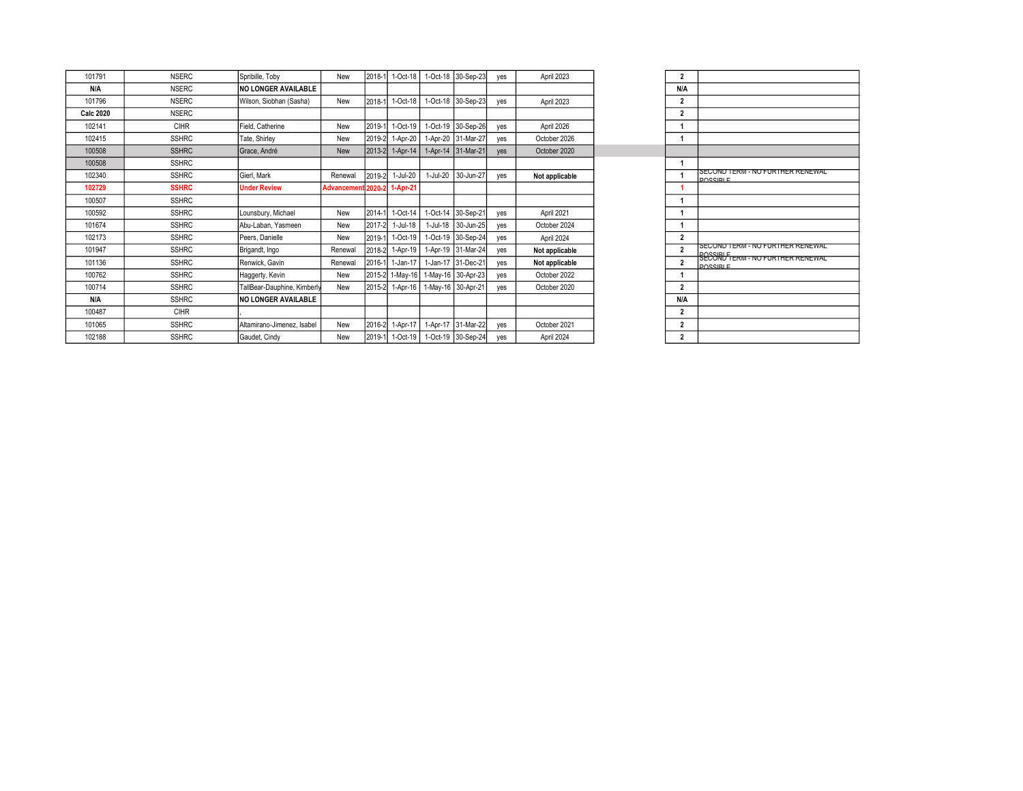| 101791           | <b>NSERC</b> | Spribille, Toby             | New                | 2018-1 | 1-Oct-18        |          | 1-Oct-18 30-Sep-23 | yes | April 2023     | $\overline{2}$ |  |
|------------------|--------------|-----------------------------|--------------------|--------|-----------------|----------|--------------------|-----|----------------|----------------|--|
| N/A              | <b>NSERC</b> | <b>INO LONGER AVAILABLE</b> |                    |        |                 |          |                    |     |                | N/A            |  |
| 101796           | <b>NSERC</b> | Wilson, Siobhan (Sasha)     | New                | 2018-1 | 1-Oct-18        |          | 1-Oct-18 30-Sep-23 | yes | April 2023     | $\overline{2}$ |  |
| <b>Calc 2020</b> | <b>NSERC</b> |                             |                    |        |                 |          |                    |     |                | $\overline{2}$ |  |
| 102141           | <b>CIHR</b>  | Field, Catherine            | New                | 2019-1 | 1-Oct-19        | 1-Oct-19 | 30-Sep-26          | yes | April 2026     |                |  |
| 102415           | <b>SSHRC</b> | Tate, Shirley               | New                | 2019-2 | 1-Apr-20        |          | 1-Apr-20 31-Mar-27 | yes | October 2026   |                |  |
| 100508           | <b>SSHRC</b> | Grace, André                | <b>New</b>         | 2013-2 | $1-Apr-14$      |          | 1-Apr-14 31-Mar-21 | yes | October 2020   |                |  |
| 100508           | <b>SSHRC</b> |                             |                    |        |                 |          |                    |     |                |                |  |
| 102340           | <b>SSHRC</b> | Gierl, Mark                 | Renewal            | 2019-2 | 1-Jul-20        | 1-Jul-20 | 30-Jun-27          | ves | Not applicable |                |  |
| 102729           | <b>SSHRC</b> | <b>Under Review</b>         | <b>Advancement</b> | 2020-2 | 1-Apr-21        |          |                    |     |                | 1              |  |
| 100507           | <b>SSHRC</b> |                             |                    |        |                 |          |                    |     |                |                |  |
| 100592           | <b>SSHRC</b> | Lounsbury, Michael          | New                | 2014-1 | 1-Oct-14        | 1-Oct-14 | 30-Sep-21          | yes | April 2021     |                |  |
| 101674           | <b>SSHRC</b> | Abu-Laban, Yasmeen          | New                | 2017-2 | $1-Jul-18$      | 1-Jul-18 | 30-Jun-25          | yes | October 2024   |                |  |
| 102173           | <b>SSHRC</b> | Peers. Danielle             | New                | 2019-1 | 1-Oct-19        |          | 1-Oct-19 30-Sep-24 | yes | April 2024     | $\overline{2}$ |  |
| 101947           | <b>SSHRC</b> | Brigandt, Ingo              | Renewal            | 2018-2 | $1-Apr-19$      |          | 1-Apr-19 31-Mar-24 | yes | Not applicable | $\overline{2}$ |  |
| 101136           | <b>SSHRC</b> | Renwick, Gavin              | Renewal            | 2016-1 | 1-Jan-17        |          | 1-Jan-17 31-Dec-21 | yes | Not applicable | $\overline{2}$ |  |
| 100762           | <b>SSHRC</b> | Haggerty, Kevin             | New                | 2015-2 | $1-May-16$      |          | 1-May-16 30-Apr-23 | yes | October 2022   |                |  |
| 100714           | <b>SSHRC</b> | TallBear-Dauphine, Kimberly | New                | 2015-2 | $1-Apr-16$      |          | 1-May-16 30-Apr-21 | yes | October 2020   | $\overline{2}$ |  |
| N/A              | <b>SSHRC</b> | <b>NO LONGER AVAILABLE</b>  |                    |        |                 |          |                    |     |                | N/A            |  |
| 100487           | CIHR         |                             |                    |        |                 |          |                    |     |                | $\overline{2}$ |  |
| 101065           | <b>SSHRC</b> | Altamirano-Jimenez, Isabel  | New                | 2016-2 | 1-Apr-17        |          | 1-Apr-17 31-Mar-22 | yes | October 2021   | $\overline{2}$ |  |
| 102188           | <b>SSHRC</b> | Gaudet, Cindy               | New                |        | 2019-1 1-Oct-19 |          | 1-Oct-19 30-Sep-24 | ves | April 2024     | $\overline{2}$ |  |

| $\overline{2}$ |                                                                             |
|----------------|-----------------------------------------------------------------------------|
| N/A            |                                                                             |
| $\overline{2}$ |                                                                             |
| $\overline{a}$ |                                                                             |
| 1              |                                                                             |
| 1              |                                                                             |
|                |                                                                             |
| 1              |                                                                             |
| 1              | SECOND TERM - NO FURTHER RENEWAL<br>DOCCIDI E                               |
| 1              |                                                                             |
| 1              |                                                                             |
| 1              |                                                                             |
| 1              |                                                                             |
| $\overline{2}$ |                                                                             |
| $\overline{a}$ | SECOND TERM - NO FURTHER RENEWAL<br><b>SCCOND TERM - NO FURTHER RENEWAL</b> |
| $\overline{a}$ | DOCCIDI E                                                                   |
| 1              |                                                                             |
| $\overline{a}$ |                                                                             |
| N/A            |                                                                             |
| $\overline{2}$ |                                                                             |
| $\overline{2}$ |                                                                             |
| $\overline{a}$ |                                                                             |